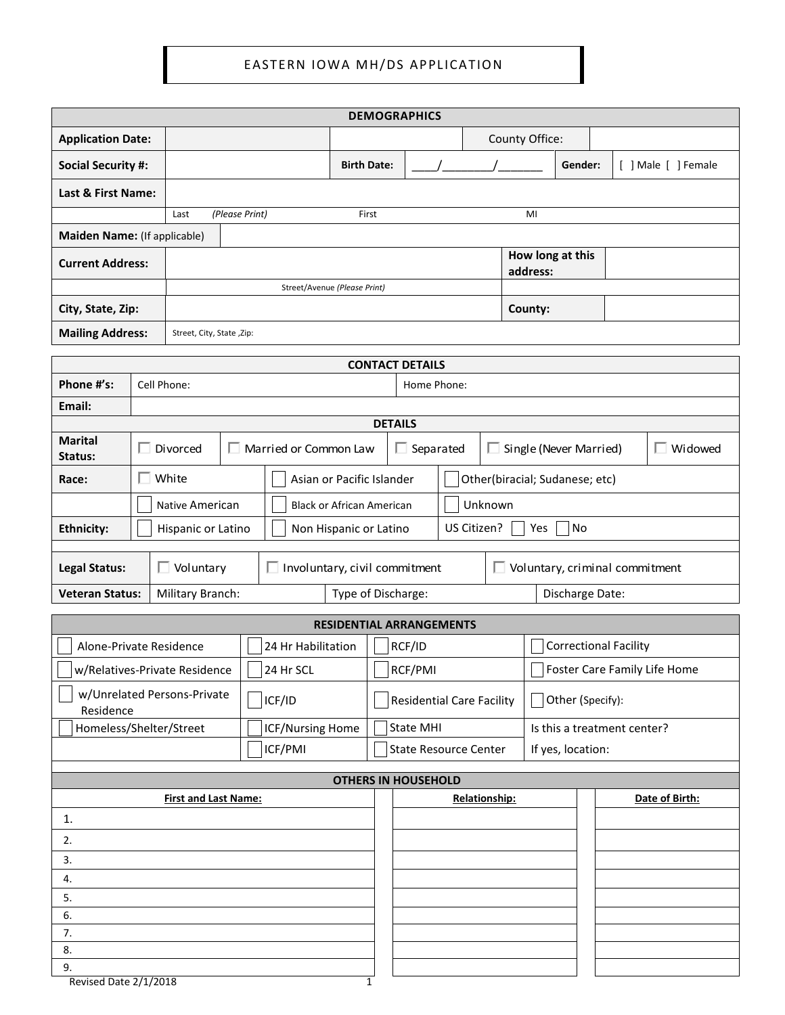|                                            |                                                                                              |                                                     |                                      |                    |  |                              |                                       |                   | <b>DEMOGRAPHICS</b>             |                              |                                |                              |                        |         |  |                     |  |
|--------------------------------------------|----------------------------------------------------------------------------------------------|-----------------------------------------------------|--------------------------------------|--------------------|--|------------------------------|---------------------------------------|-------------------|---------------------------------|------------------------------|--------------------------------|------------------------------|------------------------|---------|--|---------------------|--|
| <b>Application Date:</b>                   |                                                                                              |                                                     |                                      |                    |  |                              |                                       |                   |                                 |                              |                                |                              | County Office:         |         |  |                     |  |
| <b>Social Security #:</b>                  |                                                                                              |                                                     |                                      |                    |  |                              | <b>Birth Date:</b>                    |                   |                                 |                              |                                |                              |                        | Gender: |  | [ ] Male [ ] Female |  |
| Last & First Name:                         |                                                                                              |                                                     |                                      |                    |  |                              |                                       |                   |                                 |                              |                                |                              |                        |         |  |                     |  |
|                                            |                                                                                              | (Please Print)<br>Last                              |                                      |                    |  |                              | First                                 |                   |                                 |                              |                                |                              | MI                     |         |  |                     |  |
|                                            | Maiden Name: (If applicable)                                                                 |                                                     |                                      |                    |  |                              |                                       |                   |                                 |                              |                                |                              |                        |         |  |                     |  |
| <b>Current Address:</b>                    |                                                                                              |                                                     |                                      |                    |  |                              |                                       |                   |                                 |                              |                                | How long at this<br>address: |                        |         |  |                     |  |
|                                            |                                                                                              |                                                     | Street/Avenue (Please Print)         |                    |  |                              |                                       |                   |                                 |                              |                                |                              |                        |         |  |                     |  |
| City, State, Zip:                          |                                                                                              |                                                     |                                      |                    |  |                              |                                       | County:           |                                 |                              |                                |                              |                        |         |  |                     |  |
| <b>Mailing Address:</b>                    |                                                                                              | Street, City, State, Zip:                           |                                      |                    |  |                              |                                       |                   |                                 |                              |                                |                              |                        |         |  |                     |  |
|                                            |                                                                                              |                                                     |                                      |                    |  |                              |                                       |                   | <b>CONTACT DETAILS</b>          |                              |                                |                              |                        |         |  |                     |  |
| Phone #'s:                                 |                                                                                              | Cell Phone:                                         |                                      |                    |  |                              |                                       |                   | Home Phone:                     |                              |                                |                              |                        |         |  |                     |  |
| Email:                                     |                                                                                              |                                                     |                                      |                    |  |                              |                                       |                   |                                 |                              |                                |                              |                        |         |  |                     |  |
|                                            |                                                                                              |                                                     |                                      |                    |  |                              |                                       | <b>DETAILS</b>    |                                 |                              |                                |                              |                        |         |  |                     |  |
| <b>Marital</b><br>Status:                  |                                                                                              | Divorced                                            |                                      |                    |  | Married or Common Law        |                                       |                   | $\Box$ Separated                |                              |                                |                              | Single (Never Married) |         |  | Widowed             |  |
| Race:                                      |                                                                                              | $\Box$ White                                        |                                      |                    |  | Asian or Pacific Islander    |                                       |                   |                                 |                              | Other(biracial; Sudanese; etc) |                              |                        |         |  |                     |  |
|                                            |                                                                                              | Native American<br><b>Black or African American</b> |                                      |                    |  | Unknown                      |                                       |                   |                                 |                              |                                |                              |                        |         |  |                     |  |
| <b>Ethnicity:</b>                          |                                                                                              | Hispanic or Latino<br>Non Hispanic or Latino        |                                      |                    |  | US Citizen?<br>No<br>Yes     |                                       |                   |                                 |                              |                                |                              |                        |         |  |                     |  |
|                                            |                                                                                              |                                                     |                                      |                    |  |                              |                                       |                   |                                 |                              |                                |                              |                        |         |  |                     |  |
| $\Box$ Voluntary<br><b>Legal Status:</b>   |                                                                                              |                                                     | $\Box$ Involuntary, civil commitment |                    |  |                              | $\Box$ Voluntary, criminal commitment |                   |                                 |                              |                                |                              |                        |         |  |                     |  |
| <b>Veteran Status:</b><br>Military Branch: |                                                                                              |                                                     |                                      |                    |  | Type of Discharge:           |                                       |                   |                                 |                              |                                |                              | Discharge Date:        |         |  |                     |  |
|                                            |                                                                                              |                                                     |                                      |                    |  |                              |                                       |                   | <b>RESIDENTIAL ARRANGEMENTS</b> |                              |                                |                              |                        |         |  |                     |  |
| Alone-Private Residence                    |                                                                                              |                                                     |                                      | 24 Hr Habilitation |  |                              |                                       | RCF/ID            |                                 |                              | <b>Correctional Facility</b>   |                              |                        |         |  |                     |  |
|                                            |                                                                                              | w/Relatives-Private Residence                       |                                      | 24 Hr SCL          |  |                              | RCF/PMI                               |                   |                                 | Foster Care Family Life Home |                                |                              |                        |         |  |                     |  |
|                                            |                                                                                              | w/Unrelated Persons-Private                         |                                      | ICF/ID             |  |                              | <b>Residential Care Facility</b>      |                   | Other (Specify):                |                              |                                |                              |                        |         |  |                     |  |
| Residence<br>Homeless/Shelter/Street       |                                                                                              |                                                     |                                      | ICF/Nursing Home   |  |                              | <b>State MHI</b>                      |                   | Is this a treatment center?     |                              |                                |                              |                        |         |  |                     |  |
|                                            |                                                                                              |                                                     |                                      | ICF/PMI            |  | <b>State Resource Center</b> |                                       | If yes, location: |                                 |                              |                                |                              |                        |         |  |                     |  |
|                                            |                                                                                              |                                                     |                                      |                    |  |                              |                                       |                   |                                 |                              |                                |                              |                        |         |  |                     |  |
|                                            | <b>OTHERS IN HOUSEHOLD</b><br>Relationship:<br><b>First and Last Name:</b><br>Date of Birth: |                                                     |                                      |                    |  |                              |                                       |                   |                                 |                              |                                |                              |                        |         |  |                     |  |
| 1.                                         |                                                                                              |                                                     |                                      |                    |  |                              |                                       |                   |                                 |                              |                                |                              |                        |         |  |                     |  |
| 2.                                         |                                                                                              |                                                     |                                      |                    |  |                              |                                       |                   |                                 |                              |                                |                              |                        |         |  |                     |  |
| 3.                                         |                                                                                              |                                                     |                                      |                    |  |                              |                                       |                   |                                 |                              |                                |                              |                        |         |  |                     |  |
| 4.                                         |                                                                                              |                                                     |                                      |                    |  |                              |                                       |                   |                                 |                              |                                |                              |                        |         |  |                     |  |
| 5.                                         |                                                                                              |                                                     |                                      |                    |  |                              |                                       |                   |                                 |                              |                                |                              |                        |         |  |                     |  |
| 6.                                         |                                                                                              |                                                     |                                      |                    |  |                              |                                       |                   |                                 |                              |                                |                              |                        |         |  |                     |  |
| 7.<br>8.                                   |                                                                                              |                                                     |                                      |                    |  |                              |                                       |                   |                                 |                              |                                |                              |                        |         |  |                     |  |
| 9.                                         |                                                                                              |                                                     |                                      |                    |  |                              |                                       |                   |                                 |                              |                                |                              |                        |         |  |                     |  |
|                                            | Revised Date 2/1/2018<br>1                                                                   |                                                     |                                      |                    |  |                              |                                       |                   |                                 |                              |                                |                              |                        |         |  |                     |  |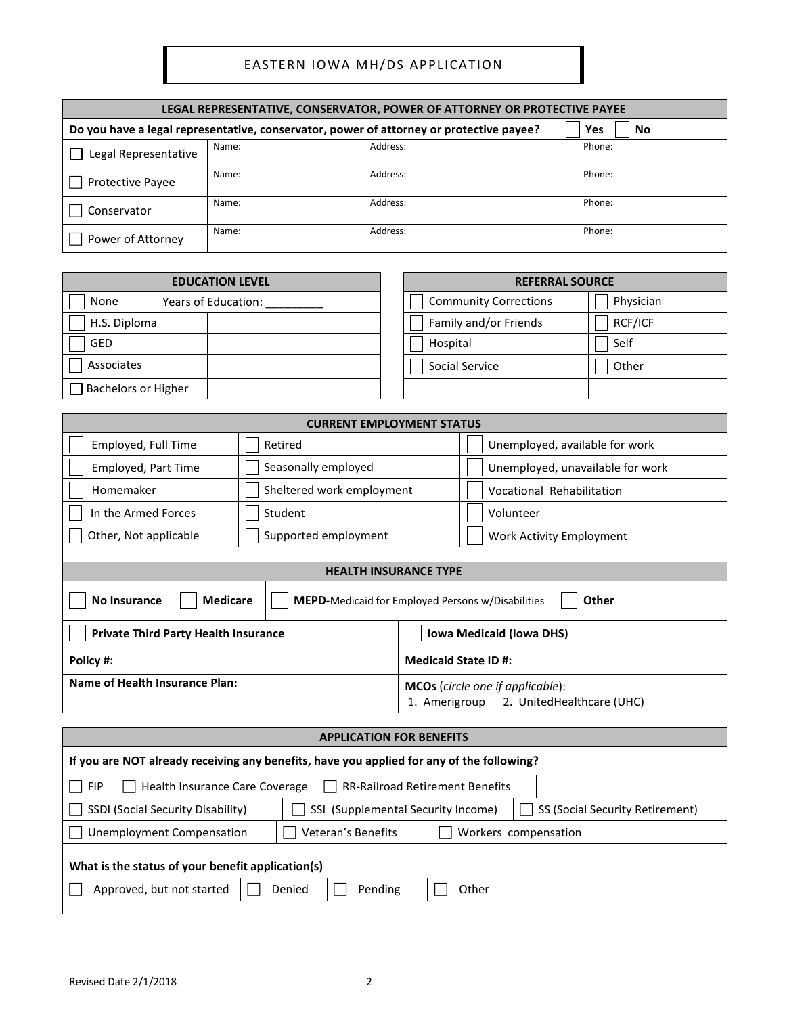| LEGAL REPRESENTATIVE, CONSERVATOR, POWER OF ATTORNEY OR PROTECTIVE PAYEE |                                                                                                      |          |        |  |  |  |
|--------------------------------------------------------------------------|------------------------------------------------------------------------------------------------------|----------|--------|--|--|--|
|                                                                          | Do you have a legal representative, conservator, power of attorney or protective payee?<br>Yes<br>No |          |        |  |  |  |
| Legal Representative                                                     | Name:                                                                                                | Address: | Phone: |  |  |  |
| <b>Protective Payee</b>                                                  | Name:                                                                                                | Address: | Phone: |  |  |  |
| Conservator                                                              | Name:                                                                                                | Address: | Phone: |  |  |  |
| Power of Attorney                                                        | Name:                                                                                                | Address: | Phone: |  |  |  |

| <b>EDUCATION LEVEL</b>      | <b>REFERRAL SOURCE</b>                    |  |  |
|-----------------------------|-------------------------------------------|--|--|
| None<br>Years of Education: | Physician<br><b>Community Corrections</b> |  |  |
| H.S. Diploma                | RCF/ICF<br>Family and/or Friends          |  |  |
| <b>GED</b>                  | Self<br>Hospital                          |  |  |
| Associates                  | Social Service<br>Other                   |  |  |
| <b>Bachelors or Higher</b>  |                                           |  |  |

| <b>CURRENT EMPLOYMENT STATUS</b>                                                                           |                                                                                             |                                            |  |  |  |
|------------------------------------------------------------------------------------------------------------|---------------------------------------------------------------------------------------------|--------------------------------------------|--|--|--|
| Employed, Full Time                                                                                        | Retired                                                                                     | Unemployed, available for work             |  |  |  |
| Employed, Part Time                                                                                        | Seasonally employed                                                                         | Unemployed, unavailable for work           |  |  |  |
| Homemaker                                                                                                  | Sheltered work employment                                                                   | <b>Vocational Rehabilitation</b>           |  |  |  |
| In the Armed Forces                                                                                        | Student                                                                                     | Volunteer                                  |  |  |  |
| Other, Not applicable                                                                                      | Supported employment                                                                        | Work Activity Employment                   |  |  |  |
|                                                                                                            |                                                                                             |                                            |  |  |  |
|                                                                                                            | <b>HEALTH INSURANCE TYPE</b>                                                                |                                            |  |  |  |
| <b>No Insurance</b>                                                                                        | <b>Medicare</b><br><b>Other</b><br><b>MEPD-Medicaid for Employed Persons w/Disabilities</b> |                                            |  |  |  |
| <b>Private Third Party Health Insurance</b>                                                                |                                                                                             | <b>Iowa Medicaid (Iowa DHS)</b>            |  |  |  |
| Policy #:                                                                                                  |                                                                                             | <b>Medicaid State ID#:</b>                 |  |  |  |
| Name of Health Insurance Plan:                                                                             |                                                                                             | <b>MCOs</b> (circle one if applicable):    |  |  |  |
|                                                                                                            |                                                                                             | 2. UnitedHealthcare (UHC)<br>1. Amerigroup |  |  |  |
|                                                                                                            |                                                                                             |                                            |  |  |  |
| <b>APPLICATION FOR BENEFITS</b>                                                                            |                                                                                             |                                            |  |  |  |
| If you are NOT already receiving any benefits, have you applied for any of the following?                  |                                                                                             |                                            |  |  |  |
| <b>FIP</b><br>Health Insurance Care Coverage<br><b>RR-Railroad Retirement Benefits</b>                     |                                                                                             |                                            |  |  |  |
| SSDI (Social Security Disability)<br>SSI (Supplemental Security Income)<br>SS (Social Security Retirement) |                                                                                             |                                            |  |  |  |

| Unemployment Compensation                         |        | Veteran's Benefits | Workers compensation |  |  |  |
|---------------------------------------------------|--------|--------------------|----------------------|--|--|--|
|                                                   |        |                    |                      |  |  |  |
| What is the status of your benefit application(s) |        |                    |                      |  |  |  |
| Approved, but not started                         | Denied | Pending            | Other                |  |  |  |
|                                                   |        |                    |                      |  |  |  |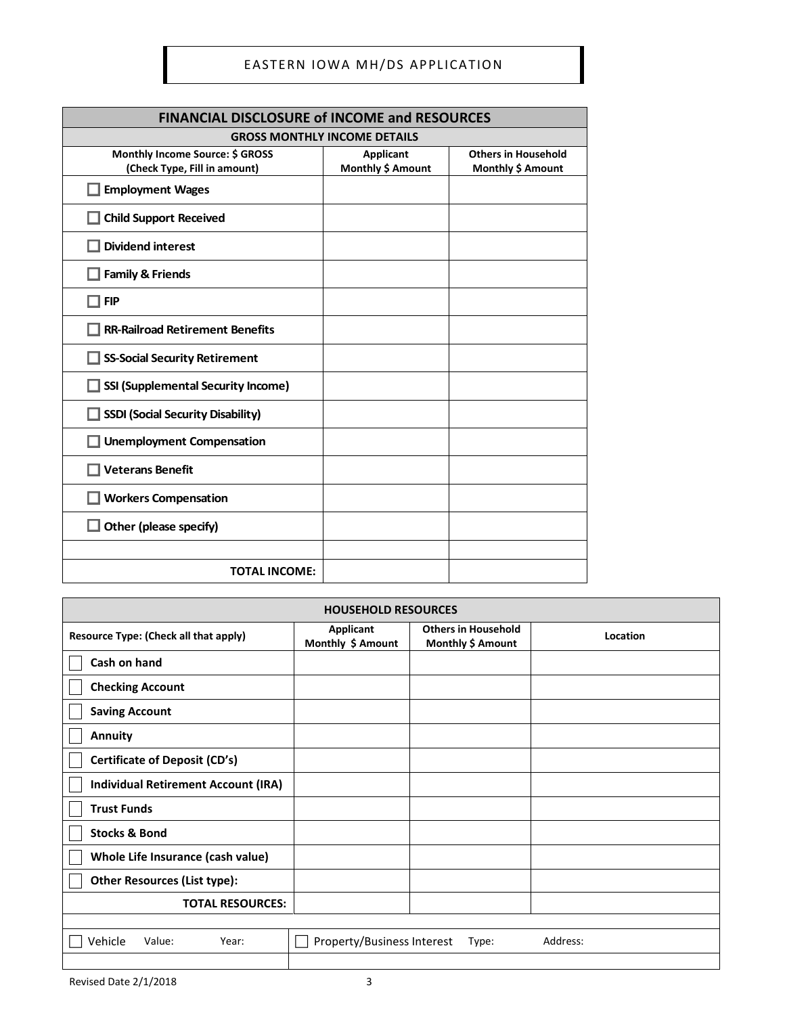| <b>FINANCIAL DISCLOSURE of INCOME and RESOURCES</b>             |                                       |                                                 |  |  |  |
|-----------------------------------------------------------------|---------------------------------------|-------------------------------------------------|--|--|--|
| <b>GROSS MONTHLY INCOME DETAILS</b>                             |                                       |                                                 |  |  |  |
| Monthly Income Source: \$ GROSS<br>(Check Type, Fill in amount) | <b>Applicant</b><br>Monthly \$ Amount | <b>Others in Household</b><br>Monthly \$ Amount |  |  |  |
| <b>Employment Wages</b>                                         |                                       |                                                 |  |  |  |
| <b>Child Support Received</b>                                   |                                       |                                                 |  |  |  |
| <b>Dividend interest</b>                                        |                                       |                                                 |  |  |  |
| <b>Family &amp; Friends</b>                                     |                                       |                                                 |  |  |  |
| <b>FIP</b>                                                      |                                       |                                                 |  |  |  |
| <b>RR-Railroad Retirement Benefits</b>                          |                                       |                                                 |  |  |  |
| <b>SS-Social Security Retirement</b>                            |                                       |                                                 |  |  |  |
| <b>SSI (Supplemental Security Income)</b>                       |                                       |                                                 |  |  |  |
| <b>SSDI (Social Security Disability)</b>                        |                                       |                                                 |  |  |  |
| <b>Unemployment Compensation</b>                                |                                       |                                                 |  |  |  |
| <b>Veterans Benefit</b>                                         |                                       |                                                 |  |  |  |
| <b>Workers Compensation</b>                                     |                                       |                                                 |  |  |  |
| $\Box$ Other (please specify)                                   |                                       |                                                 |  |  |  |
|                                                                 |                                       |                                                 |  |  |  |
| <b>TOTAL INCOME:</b>                                            |                                       |                                                 |  |  |  |

| <b>HOUSEHOLD RESOURCES</b>                 |                                       |                                                 |          |  |  |
|--------------------------------------------|---------------------------------------|-------------------------------------------------|----------|--|--|
| Resource Type: (Check all that apply)      | <b>Applicant</b><br>Monthly \$ Amount | <b>Others in Household</b><br>Monthly \$ Amount | Location |  |  |
| Cash on hand                               |                                       |                                                 |          |  |  |
| <b>Checking Account</b>                    |                                       |                                                 |          |  |  |
| <b>Saving Account</b>                      |                                       |                                                 |          |  |  |
| <b>Annuity</b>                             |                                       |                                                 |          |  |  |
| <b>Certificate of Deposit (CD's)</b>       |                                       |                                                 |          |  |  |
| <b>Individual Retirement Account (IRA)</b> |                                       |                                                 |          |  |  |
| <b>Trust Funds</b>                         |                                       |                                                 |          |  |  |
| <b>Stocks &amp; Bond</b>                   |                                       |                                                 |          |  |  |
| Whole Life Insurance (cash value)          |                                       |                                                 |          |  |  |
| <b>Other Resources (List type):</b>        |                                       |                                                 |          |  |  |
| <b>TOTAL RESOURCES:</b>                    |                                       |                                                 |          |  |  |
|                                            |                                       |                                                 |          |  |  |
| Vehicle<br>Value:<br>Year:                 | Property/Business Interest            | Type:                                           | Address: |  |  |
|                                            |                                       |                                                 |          |  |  |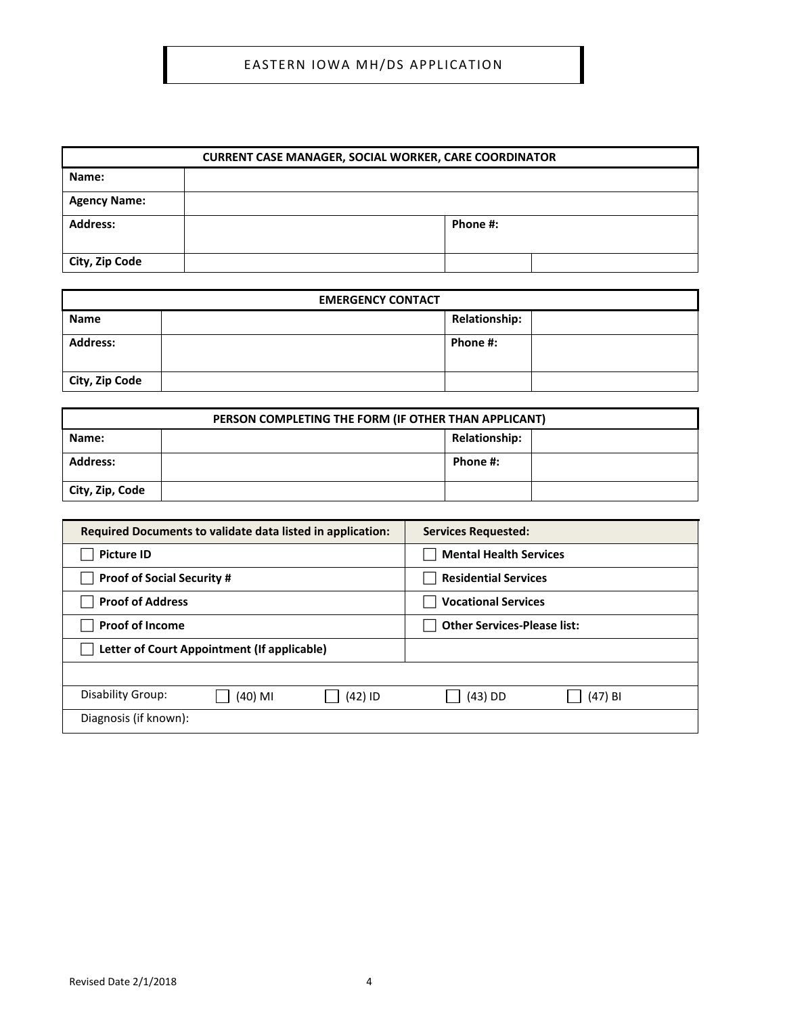## EASTERN IOWA MH/DS APPLICATION

| <b>CURRENT CASE MANAGER, SOCIAL WORKER, CARE COORDINATOR</b> |  |          |  |  |
|--------------------------------------------------------------|--|----------|--|--|
| Name:                                                        |  |          |  |  |
| <b>Agency Name:</b>                                          |  |          |  |  |
| <b>Address:</b>                                              |  | Phone #: |  |  |
| City, Zip Code                                               |  |          |  |  |

| <b>EMERGENCY CONTACT</b> |  |                      |  |  |
|--------------------------|--|----------------------|--|--|
| <b>Name</b>              |  | <b>Relationship:</b> |  |  |
| <b>Address:</b>          |  | Phone #:             |  |  |
| City, Zip Code           |  |                      |  |  |

| PERSON COMPLETING THE FORM (IF OTHER THAN APPLICANT) |  |                      |  |  |
|------------------------------------------------------|--|----------------------|--|--|
| Name:                                                |  | <b>Relationship:</b> |  |  |
| <b>Address:</b>                                      |  | Phone #:             |  |  |
| City, Zip, Code                                      |  |                      |  |  |

| Required Documents to validate data listed in application: | <b>Services Requested:</b>         |  |
|------------------------------------------------------------|------------------------------------|--|
| <b>Picture ID</b>                                          | <b>Mental Health Services</b>      |  |
| <b>Proof of Social Security #</b>                          | <b>Residential Services</b>        |  |
| <b>Proof of Address</b>                                    | <b>Vocational Services</b>         |  |
| <b>Proof of Income</b>                                     | <b>Other Services-Please list:</b> |  |
| Letter of Court Appointment (If applicable)                |                                    |  |
|                                                            |                                    |  |
| Disability Group:<br>$(42)$ ID<br>(40) MI                  | $(43)$ DD<br>$(47)$ BI             |  |
| Diagnosis (if known):                                      |                                    |  |